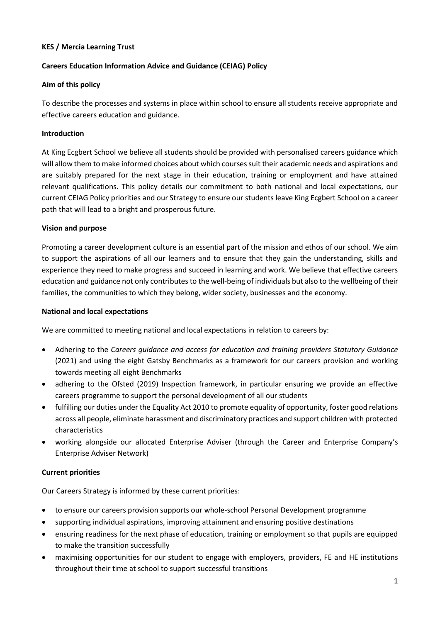#### **KES / Mercia Learning Trust**

# **Careers Education Information Advice and Guidance (CEIAG) Policy**

#### **Aim of this policy**

To describe the processes and systems in place within school to ensure all students receive appropriate and effective careers education and guidance.

#### **Introduction**

At King Ecgbert School we believe all students should be provided with personalised careers guidance which will allow them to make informed choices about which courses suit their academic needs and aspirations and are suitably prepared for the next stage in their education, training or employment and have attained relevant qualifications. This policy details our commitment to both national and local expectations, our current CEIAG Policy priorities and our Strategy to ensure our students leave King Ecgbert School on a career path that will lead to a bright and prosperous future.

#### **Vision and purpose**

Promoting a career development culture is an essential part of the mission and ethos of our school. We aim to support the aspirations of all our learners and to ensure that they gain the understanding, skills and experience they need to make progress and succeed in learning and work. We believe that effective careers education and guidance not only contributes to the well-being of individuals but also to the wellbeing of their families, the communities to which they belong, wider society, businesses and the economy.

#### **National and local expectations**

We are committed to meeting national and local expectations in relation to careers by:

- Adhering to the *Careers guidance and access for education and training providers Statutory Guidance* (2021) and using the eight Gatsby Benchmarks as a framework for our careers provision and working towards meeting all eight Benchmarks
- adhering to the Ofsted (2019) Inspection framework, in particular ensuring we provide an effective careers programme to support the personal development of all our students
- fulfilling our duties under the Equality Act 2010 to promote equality of opportunity, foster good relations across all people, eliminate harassment and discriminatory practices and support children with protected characteristics
- working alongside our allocated Enterprise Adviser (through the Career and Enterprise Company's Enterprise Adviser Network)

# **Current priorities**

Our Careers Strategy is informed by these current priorities:

- to ensure our careers provision supports our whole-school Personal Development programme
- supporting individual aspirations, improving attainment and ensuring positive destinations
- ensuring readiness for the next phase of education, training or employment so that pupils are equipped to make the transition successfully
- maximising opportunities for our student to engage with employers, providers, FE and HE institutions throughout their time at school to support successful transitions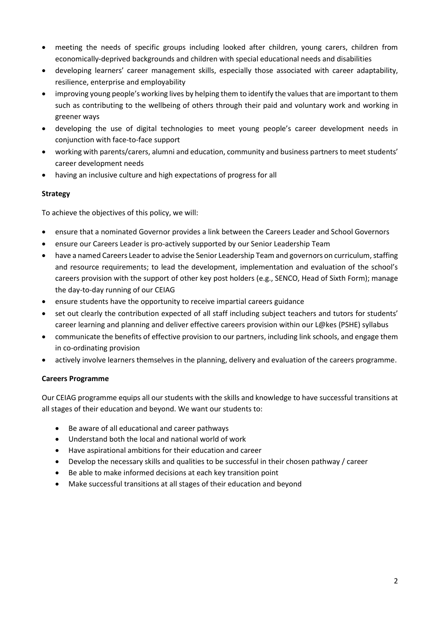- meeting the needs of specific groups including looked after children, young carers, children from economically-deprived backgrounds and children with special educational needs and disabilities
- developing learners' career management skills, especially those associated with career adaptability, resilience, enterprise and employability
- improving young people's working lives by helping them to identify the values that are important to them such as contributing to the wellbeing of others through their paid and voluntary work and working in greener ways
- developing the use of digital technologies to meet young people's career development needs in conjunction with face-to-face support
- working with parents/carers, alumni and education, community and business partners to meet students' career development needs
- having an inclusive culture and high expectations of progress for all

# **Strategy**

To achieve the objectives of this policy, we will:

- ensure that a nominated Governor provides a link between the Careers Leader and School Governors
- ensure our Careers Leader is pro-actively supported by our Senior Leadership Team
- have a named Careers Leader to advise the Senior Leadership Team and governors on curriculum, staffing and resource requirements; to lead the development, implementation and evaluation of the school's careers provision with the support of other key post holders (e.g., SENCO, Head of Sixth Form); manage the day-to-day running of our CEIAG
- ensure students have the opportunity to receive impartial careers guidance
- set out clearly the contribution expected of all staff including subject teachers and tutors for students' career learning and planning and deliver effective careers provision within our L@kes (PSHE) syllabus
- communicate the benefits of effective provision to our partners, including link schools, and engage them in co-ordinating provision
- actively involve learners themselves in the planning, delivery and evaluation of the careers programme.

# **Careers Programme**

Our CEIAG programme equips all our students with the skills and knowledge to have successful transitions at all stages of their education and beyond. We want our students to:

- Be aware of all educational and career pathways
- Understand both the local and national world of work
- Have aspirational ambitions for their education and career
- Develop the necessary skills and qualities to be successful in their chosen pathway / career
- Be able to make informed decisions at each key transition point
- Make successful transitions at all stages of their education and beyond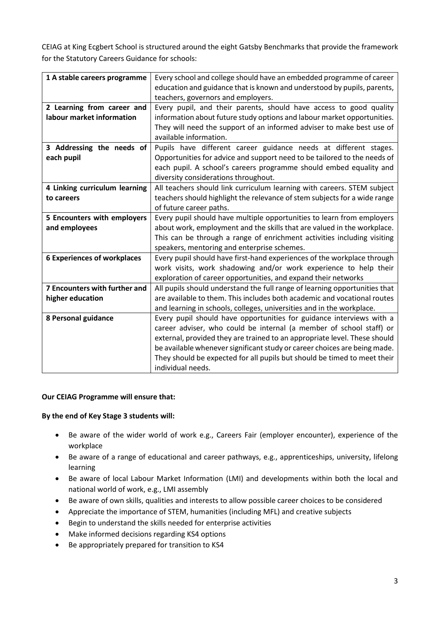CEIAG at King Ecgbert School is structured around the eight Gatsby Benchmarks that provide the framework for the Statutory Careers Guidance for schools:

| 1 A stable careers programme       | Every school and college should have an embedded programme of career       |
|------------------------------------|----------------------------------------------------------------------------|
|                                    | education and guidance that is known and understood by pupils, parents,    |
|                                    | teachers, governors and employers.                                         |
| 2 Learning from career and         | Every pupil, and their parents, should have access to good quality         |
| labour market information          | information about future study options and labour market opportunities.    |
|                                    | They will need the support of an informed adviser to make best use of      |
|                                    | available information.                                                     |
| 3 Addressing the needs of          | Pupils have different career guidance needs at different stages.           |
| each pupil                         | Opportunities for advice and support need to be tailored to the needs of   |
|                                    | each pupil. A school's careers programme should embed equality and         |
|                                    | diversity considerations throughout.                                       |
| 4 Linking curriculum learning      | All teachers should link curriculum learning with careers. STEM subject    |
| to careers                         | teachers should highlight the relevance of stem subjects for a wide range  |
|                                    | of future career paths.                                                    |
| 5 Encounters with employers        | Every pupil should have multiple opportunities to learn from employers     |
| and employees                      | about work, employment and the skills that are valued in the workplace.    |
|                                    | This can be through a range of enrichment activities including visiting    |
|                                    | speakers, mentoring and enterprise schemes.                                |
| <b>6 Experiences of workplaces</b> | Every pupil should have first-hand experiences of the workplace through    |
|                                    | work visits, work shadowing and/or work experience to help their           |
|                                    | exploration of career opportunities, and expand their networks             |
| 7 Encounters with further and      | All pupils should understand the full range of learning opportunities that |
| higher education                   | are available to them. This includes both academic and vocational routes   |
|                                    | and learning in schools, colleges, universities and in the workplace.      |
| 8 Personal guidance                | Every pupil should have opportunities for guidance interviews with a       |
|                                    | career adviser, who could be internal (a member of school staff) or        |
|                                    | external, provided they are trained to an appropriate level. These should  |
|                                    | be available whenever significant study or career choices are being made.  |
|                                    | They should be expected for all pupils but should be timed to meet their   |
|                                    | individual needs.                                                          |

# **Our CEIAG Programme will ensure that:**

# **By the end of Key Stage 3 students will:**

- Be aware of the wider world of work e.g., Careers Fair (employer encounter), experience of the workplace
- Be aware of a range of educational and career pathways, e.g., apprenticeships, university, lifelong learning
- Be aware of local Labour Market Information (LMI) and developments within both the local and national world of work, e.g., LMI assembly
- Be aware of own skills, qualities and interests to allow possible career choices to be considered
- Appreciate the importance of STEM, humanities (including MFL) and creative subjects
- Begin to understand the skills needed for enterprise activities
- Make informed decisions regarding KS4 options
- Be appropriately prepared for transition to KS4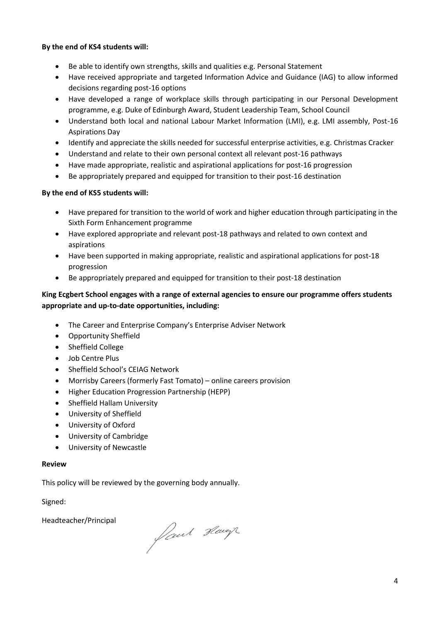#### **By the end of KS4 students will:**

- Be able to identify own strengths, skills and qualities e.g. Personal Statement
- Have received appropriate and targeted Information Advice and Guidance (IAG) to allow informed decisions regarding post-16 options
- Have developed a range of workplace skills through participating in our Personal Development programme, e.g. Duke of Edinburgh Award, Student Leadership Team, School Council
- Understand both local and national Labour Market Information (LMI), e.g. LMI assembly, Post-16 Aspirations Day
- Identify and appreciate the skills needed for successful enterprise activities, e.g. Christmas Cracker
- Understand and relate to their own personal context all relevant post-16 pathways
- Have made appropriate, realistic and aspirational applications for post-16 progression
- Be appropriately prepared and equipped for transition to their post-16 destination

# **By the end of KS5 students will:**

- Have prepared for transition to the world of work and higher education through participating in the Sixth Form Enhancement programme
- Have explored appropriate and relevant post-18 pathways and related to own context and aspirations
- Have been supported in making appropriate, realistic and aspirational applications for post-18 progression
- Be appropriately prepared and equipped for transition to their post-18 destination

# **King Ecgbert School engages with a range of external agencies to ensure our programme offers students appropriate and up-to-date opportunities, including:**

- The Career and Enterprise Company's Enterprise Adviser Network
- Opportunity Sheffield
- Sheffield College
- Job Centre Plus
- Sheffield School's CEIAG Network
- Morrisby Careers (formerly Fast Tomato) online careers provision
- Higher Education Progression Partnership (HEPP)
- Sheffield Hallam University
- University of Sheffield
- University of Oxford
- University of Cambridge
- University of Newcastle

# **Review**

This policy will be reviewed by the governing body annually.

Signed:

Headteacher/Principal

faut Havey